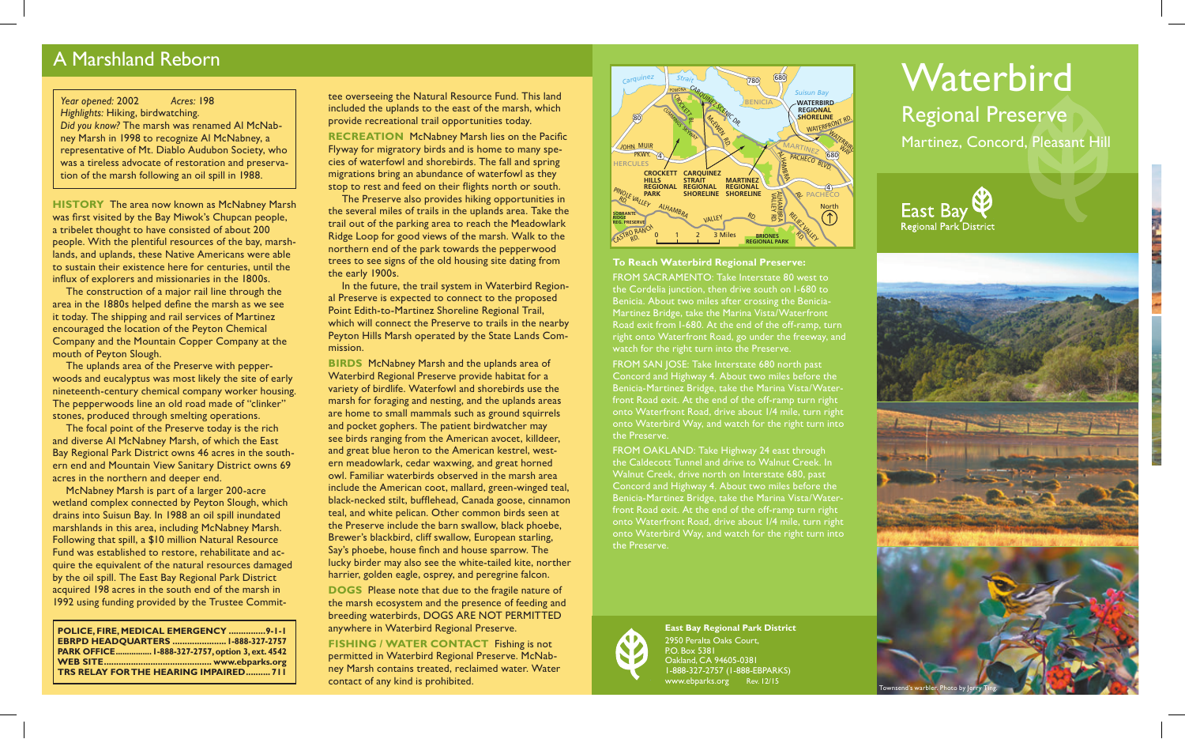# A Marshland Reborn

### *Year opened:* 2002 *Acres:* 198 *Highlights:* Hiking, birdwatching. *Did you know?* The marsh was renamed Al McNabney Marsh in 1998 to recognize Al McNabney, a representative of Mt. Diablo Audubon Society, who was a tireless advocate of restoration and preservation of the marsh following an oil spill in 1988.

**HISTORY** The area now known as McNabney Marsh was first visited by the Bay Miwok's Chupcan people, a tribelet thought to have consisted of about 200 people. With the plentiful resources of the bay, marshlands, and uplands, these Native Americans were able to sustain their existence here for centuries, until the influx of explorers and missionaries in the 1800s.

The construction of a major rail line through the area in the 1880s helped define the marsh as we see it today. The shipping and rail services of Martinez encouraged the location of the Peyton Chemical Company and the Mountain Copper Company at the mouth of Peyton Slough.

The uplands area of the Preserve with pepperwoods and eucalyptus was most likely the site of early nineteenth-century chemical company worker housing. The pepperwoods line an old road made of "clinker" stones, produced through smelting operations.

The focal point of the Preserve today is the rich and diverse Al McNabney Marsh, of which the East Bay Regional Park District owns 46 acres in the southern end and Mountain View Sanitary District owns 69 acres in the northern and deeper end.

McNabney Marsh is part of a larger 200-acre wetland complex connected by Peyton Slough, which drains into Suisun Bay. In 1988 an oil spill inundated marshlands in this area, including McNabney Marsh. Following that spill, a \$10 million Natural Resource Fund was established to restore, rehabilitate and acquire the equivalent of the natural resources damaged by the oil spill. The East Bay Regional Park District acquired 198 acres in the south end of the marsh in 1992 using funding provided by the Trustee Commit-

**POLICE, FIRE, MEDICAL EMERGENCY ...............9-1-1 EBRPD HEADQUARTERS ......................1-888-327-2757 PARK OFFICE................1-888-327-2757, option 3, ext. 4542 WEB SITE............................................ www.ebparks.org TRS RELAY FOR THE HEARING IMPAIRED.......... 711** tee overseeing the Natural Resource Fund. This land included the uplands to the east of the marsh, which provide recreational trail opportunities today. **RECREATION** McNabney Marsh lies on the Pacific Flyway for migratory birds and is home to many species of waterfowl and shorebirds. The fall and spring migrations bring an abundance of waterfowl as they stop to rest and feed on their flights north or south. The Preserve also provides hiking opportunities in

the several miles of trails in the uplands area. Take the trail out of the parking area to reach the Meadowlark Ridge Loop for good views of the marsh. Walk to the northern end of the park towards the pepperwood trees to see signs of the old housing site dating from the early 1900s.

In the future, the trail system in Waterbird Regional Preserve is expected to connect to the proposed Point Edith-to-Martinez Shoreline Regional Trail, which will connect the Preserve to trails in the nearby Peyton Hills Marsh operated by the State Lands Commission.

**BIRDS** McNabney Marsh and the uplands area of Waterbird Regional Preserve provide habitat for a variety of birdlife. Waterfowl and shorebirds use the marsh for foraging and nesting, and the uplands areas are home to small mammals such as ground squirrels and pocket gophers. The patient birdwatcher may see birds ranging from the American avocet, killdeer, and great blue heron to the American kestrel, western meadowlark, cedar waxwing, and great horned owl. Familiar waterbirds observed in the marsh area include the American coot, mallard, green-winged teal, black-necked stilt, bufflehead, Canada goose, cinnamon teal, and white pelican. Other common birds seen at the Preserve include the barn swallow, black phoebe, Brewer's blackbird, cliff swallow, European starling, Say's phoebe, house finch and house sparrow. The lucky birder may also see the white-tailed kite, norther harrier, golden eagle, osprey, and peregrine falcon.

**DOGS** Please note that due to the fragile nature of the marsh ecosystem and the presence of feeding and breeding waterbirds, DOGS ARE NOT PERMITTED anywhere in Waterbird Regional Preserve.

**FISHING / WATER CONTACT** Fishing is not permitted in Waterbird Regional Preserve. McNabney Marsh contains treated, reclaimed water. Water contact of any kind is prohibited.



#### **To Reach Waterbird Regional Preserve:**

FROM SACRAMENTO: Take Interstate 80 west to the Cordelia junction, then drive south on I-680 to Benicia. About two miles after crossing the Benicia-Martinez Bridge, take the Marina Vista/Waterfront Road exit from I-680. At the end of the off-ramp, turn right onto Waterfront Road, go under the freeway, and watch for the right turn into the Preserve.

FROM SAN JOSE: Take Interstate 680 north past Concord and Highway 4. About two miles before the Benicia-Martinez Bridge, take the Marina Vista/Waterfront Road exit. At the end of the off-ramp turn right onto Waterfront Road, drive about 1/4 mile, turn right onto Waterbird Way, and watch for the right turn into the Preserve.

FROM OAKLAND: Take Highway 24 east through the Caldecott Tunnel and drive to Walnut Creek. In Walnut Creek, drive north on Interstate 680, past Concord and Highway 4. About two miles before the Benicia-Martinez Bridge, take the Marina Vista/Waterfront Road exit. At the end of the off-ramp turn right onto Waterfront Road, drive about 1/4 mile, turn right onto Waterbird Way, and watch for the right turn into the Preserve.



**East Bay Regional Park District** 2950 Peralta Oaks Court, P.O. Box 5381 Oakland, CA 94605-0381 1-888-327-2757 (1-888-EBPARKS) www.ebparks.org Rev. 12/15

# **Waterbird** Regional Preserve

Martinez, Concord, Pleasant Hill